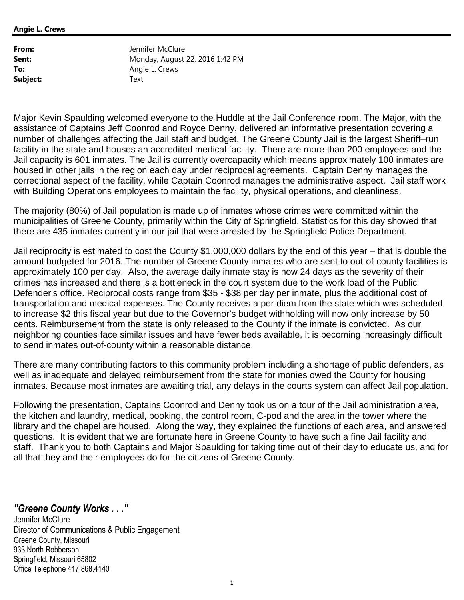**Angie L. Crews**

| From:    | Jennifer McClure                |
|----------|---------------------------------|
| Sent:    | Monday, August 22, 2016 1:42 PM |
| To:      | Angie L. Crews                  |
| Subject: | Text                            |

Major Kevin Spaulding welcomed everyone to the Huddle at the Jail Conference room. The Major, with the assistance of Captains Jeff Coonrod and Royce Denny, delivered an informative presentation covering a number of challenges affecting the Jail staff and budget. The Greene County Jail is the largest Sheriff–run facility in the state and houses an accredited medical facility. There are more than 200 employees and the Jail capacity is 601 inmates. The Jail is currently overcapacity which means approximately 100 inmates are housed in other jails in the region each day under reciprocal agreements. Captain Denny manages the correctional aspect of the facility, while Captain Coonrod manages the administrative aspect. Jail staff work with Building Operations employees to maintain the facility, physical operations, and cleanliness.

The majority (80%) of Jail population is made up of inmates whose crimes were committed within the municipalities of Greene County, primarily within the City of Springfield. Statistics for this day showed that there are 435 inmates currently in our jail that were arrested by the Springfield Police Department.

Jail reciprocity is estimated to cost the County \$1,000,000 dollars by the end of this year – that is double the amount budgeted for 2016. The number of Greene County inmates who are sent to out-of-county facilities is approximately 100 per day. Also, the average daily inmate stay is now 24 days as the severity of their crimes has increased and there is a bottleneck in the court system due to the work load of the Public Defender's office. Reciprocal costs range from \$35 - \$38 per day per inmate, plus the additional cost of transportation and medical expenses. The County receives a per diem from the state which was scheduled to increase \$2 this fiscal year but due to the Governor's budget withholding will now only increase by 50 cents. Reimbursement from the state is only released to the County if the inmate is convicted. As our neighboring counties face similar issues and have fewer beds available, it is becoming increasingly difficult to send inmates out-of-county within a reasonable distance.

There are many contributing factors to this community problem including a shortage of public defenders, as well as inadequate and delayed reimbursement from the state for monies owed the County for housing inmates. Because most inmates are awaiting trial, any delays in the courts system can affect Jail population.

Following the presentation, Captains Coonrod and Denny took us on a tour of the Jail administration area, the kitchen and laundry, medical, booking, the control room, C-pod and the area in the tower where the library and the chapel are housed. Along the way, they explained the functions of each area, and answered questions. It is evident that we are fortunate here in Greene County to have such a fine Jail facility and staff. Thank you to both Captains and Major Spaulding for taking time out of their day to educate us, and for all that they and their employees do for the citizens of Greene County.

*"Greene County Works . . ."* 

Jennifer McClure Director of Communications & Public Engagement Greene County, Missouri 933 North Robberson Springfield, Missouri 65802 Office Telephone 417.868.4140